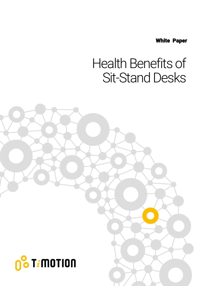White Paper

### Health Benefits of Sit-Stand Desks

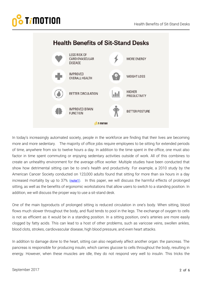

In today's increasingly automated society, people in the workforce are finding that their lives are becoming more and more sedentary. The majority of office jobs require employees to be sitting for extended periods of time, anywhere from six to twelve hours a day. In addition to the time spent in the office, one must also factor in time spent commuting or enjoying sedentary activities outside of work. All of this combines to create an unhealthy environment for the average office worker. Multiple studies have been conducted that show how detrimental sitting can be to one's health and productivity. For example, a 2010 study by the American Cancer Society conducted on 123,000 adults found that sitting for more than six hours in a day increased mortality by up to 37% [\(note1\)](http://pressroom.cancer.org/releases?item=257). In this paper, we will discuss the harmful effects of prolonged sitting, as well as the benefits of ergonomic workstations that allow users to switch to a standing position. In addition, we will discuss the proper way to use a sit-stand desk.

One of the main byproducts of prolonged sitting is reduced circulation in one's body. When sitting, blood flows much slower throughout the body, and fluid tends to pool in the legs. The exchange of oxygen to cells is not as efficient as it would be in a standing position. In a sitting position, one's arteries are more easily clogged by fatty acids. This can lead to a host of other problems, such as varicose veins, swollen ankles, blood clots, strokes, cardiovascular disease, high blood pressure, and even heart attacks.

In addition to damage done to the heart, sitting can also negatively affect another organ: the pancreas. The pancreas is responsible for producing insulin, which carries glucose to cells throughout the body, resulting in energy. However, when these muscles are idle, they do not respond very well to insulin. This tricks the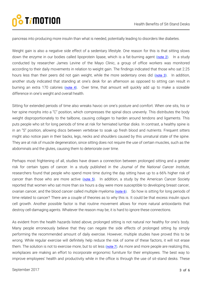pancreas into producing more insulin than what is needed, potentially leading to disorders like diabetes.

Weight gain is also a negative side effect of a sedentary lifestyle. One reason for this is that sitting slows down the enzyme in our bodies called lipoprotein lipase, which is a fat-burning agent [\(note 2\)](https://www.ncbi.nlm.nih.gov/pubmed/15604935). In a study conducted by researcher James Levine of the Mayo Clinic, a group of office workers was monitored according to their daily movements in relation to weight gain. The findings indicated that those who sat 2.25 hours less than their peers did not gain weight, while the more sedentary ones did [\(note 3\)](http://www.washingtonpost.com/wp-dyn/articles/A41897-2005Jan27.html?utm_source=huffingtonpost.com&utm_medium=referral&utm_campaign=pubexchange_article). In addition, another study indicated that standing at one's desk for an afternoon as opposed to sitting can result in burning an extra 170 calories [\(note 4\)](https://authoritynutrition.com/7-benefits-of-a-standing-desk/). Over time, that amount will quickly add up to make a sizeable difference in one's weight and overall health.

Sitting for extended periods of time also wreaks havoc on one's posture and comfort. When one sits, his or her spine morphs into a "C" position, which compresses the spinal discs unevenly. This distributes the body weight disproportionately to the tailbone, causing collagen to harden around tendons and ligaments. This puts people who sit for long periods of time at risk for herniated lumbar disks. In contrast, a healthy spine is in an "S" position, allowing discs between vertebrae to soak up fresh blood and nutrients. Frequent sitters might also notice pain in their backs, legs, necks and shoulders caused by this unnatural state of the spine. They are at risk of muscle degeneration, since sitting does not require the use of certain muscles, such as the abdominals and the glutes, causing them to deteriorate over time.

Perhaps most frightening of all, studies have drawn a connection between prolonged sitting and a greater risk for certain types of cancer. In a study published in the *Journal of the National Cancer Institute*, researchers found that people who spend more time during the day sitting have up to a 66% higher risk of cancer than those who are more active  $(note 5)$ . In addition, a study by the American Cancer Society reported that women who sat more than six hours a day were more susceptible to developing breast cancer, ovarian cancer, and the blood cancer called multiple myeloma [\(note 6\)](https://www.livescience.com/51564-sitting-womens-cancer-risk.html). So how is sitting for long periods of time related to cancer? There are a couple of theories as to why this is. It could be that excess insulin spurs cell growth. Another possible factor is that routine movement allows for more natural antioxidants that destroy cell-damaging agents. Whatever the reason may be, it is hard to ignore these connections.

As evident from the health hazards listed above, prolonged sitting is not natural nor healthy for one's body. Many people erroneously believe that they can negate the side effects of prolonged sitting by simply performing the recommended amount of daily exercise. However, multiple studies have proved this to be wrong. While regular exercise will definitely help reduce the risk of some of these factors, it will not erase them. The solution is not to exercise more, but to sit less [\(note 7\)](https://academic.oup.com/aje/article/172/4/419/85345/Leisure-Time-Spent-Sitting-in-Relation-to-Total). As more and more people are realizing this, workplaces are making an effort to incorporate ergonomic furniture for their employees. The best way to improve employees' health and productivity while in the office is through the use of sit-stand desks. These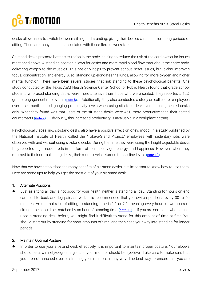desks allow users to switch between sitting and standing, giving their bodies a respite from long periods of sitting. There are many benefits associated with these flexible workstations.

Sit-stand desks promote better circulation in the body, helping to reduce the risk of the cardiovascular issues mentioned above. A standing position allows for easier and more rapid blood flow throughout the entire body, delivering oxygen to the muscles. This not only helps to prevent serious heart issues, but it also improves focus, concentration, and energy. Also, standing up elongates the lungs, allowing for more oxygen and higher mental function. There have been several studies that link standing to these psychological benefits. One study conducted by the Texas A&M Health Science Center School of Public Health found that grade school students who used standing desks were more attentive than those who were seated. They reported a 12% greater engagement rate overall [\(note 8\)](https://www.sciencedaily.com/releases/2015/04/150424121118.htm). Additionally, they also conducted a study on call center employees over a six month period, gauging productivity levels when using sit-stand desks versus using seated desks only. What they found was that users of the sit-stand desks were 45% more productive than their seated counterparts [\(note 9\)](http://www.tandfonline.com/doi/full/10.1080/21577323.2016.1183534?scroll=top&needAccess=true). Obviously, this increased productivity is invaluable in a workplace setting.

Psychologically speaking, sit-stand desks also have a positive effect on one's mood. In a study published by the National Institute of Health, called the "Take-a-Stand Project," employees with sedentary jobs were observed with and without using sit-stand desks. During the time they were using the height adjustable desks, they reported high mood levels in the form of increased vigor, energy, and happiness. However, when they returned to their normal sitting desks, their mood levels returned to baseline levels [\(note 10\)](https://www.ncbi.nlm.nih.gov/pmc/articles/PMC3477898/).

Now that we have established the many benefits of sit-stand desks, it is important to know how to use them. Here are some tips to help you get the most out of your sit-stand desk:

#### 1. Alternate Positions

 Just as sitting all day is not good for your health, neither is standing all day. Standing for hours on end can lead to back and leg pain, as well. It is recommended that you switch positions every 30 to 60 minutes. An optimal ratio of sitting to standing time is 1:1 or 2:1, meaning every hour or two hours of sitting time should be matched by an hour of standing time [\(note 11\)](http://www.healthline.com/nutrition/6-tips-for-using-a-standing-desk#section2). If you are someone who has not used a standing desk before, you might find it difficult to stand for this amount of time at first. You should start out by standing for short amounts of time, and then ease your way into standing for longer periods.

#### 2. Maintain Optimal Posture

 In order to use your sit-stand desk effectively, it is important to maintain proper posture. Your elbows should be at a ninety-degree angle, and your monitor should be eye-level. Take care to make sure that you are not hunched over or straining your muscles in any way. The best way to ensure that you are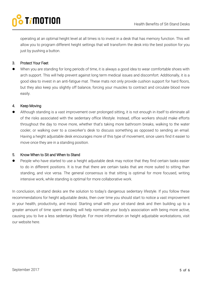operating at an optimal height level at all times is to invest in a desk that has memory function. This will allow you to program different height settings that will transform the desk into the best position for you just by pushing a button.

### 3. Protect Your Feet

 When you are standing for long periods of time, it is always a good idea to wear comfortable shoes with arch support. This will help prevent against long term medical issues and discomfort. Additionally, it is a good idea to invest in an anti-fatigue mat. These mats not only provide cushion support for hard floors, but they also keep you slightly off balance, forcing your muscles to contract and circulate blood more easily.

#### 4. Keep Moving

 Although standing is a vast improvement over prolonged sitting, it is not enough in itself to eliminate all of the risks associated with the sedentary office lifestyle. Instead, office workers should make efforts throughout the day to move more, whether that's taking more bathroom breaks, walking to the water cooler, or walking over to a coworker's desk to discuss something as opposed to sending an email. Having a height adjustable desk encourages more of this type of movement, since users find it easier to move once they are in a standing position.

#### 5. Know When to Sit and When to Stand

 People who have started to use a height adjustable desk may notice that they find certain tasks easier to do in different positions. It is true that there are certain tasks that are more suited to sitting than standing, and vice versa. The general consensus is that sitting is optimal for more focused, writing intensive work, while standing is optimal for more collaborative work.

In conclusion, sit-stand desks are the solution to today's dangerous sedentary lifestyle. If you follow these recommendations for height adjustable desks, then over time you should start to notice a vast improvement in your health, productivity, and mood. Starting small with your sit-stand desk and then building up to a greater amount of time spent standing will help normalize your body's association with being more active, causing you to live a less sedentary lifestyle. For more information on height adjustable workstations, visit our website here.